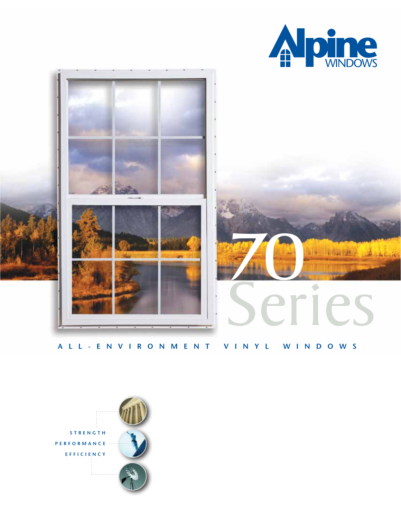



# **ALL-ENVIRONMENT VINYL WINDOWS**

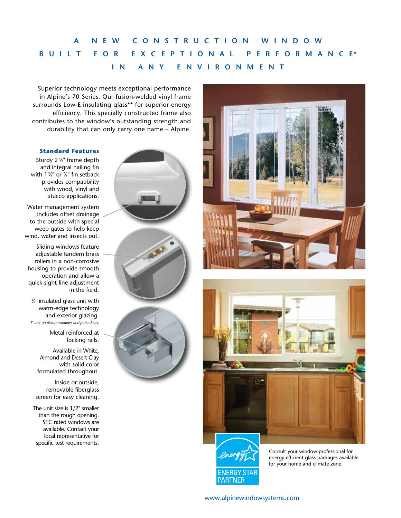# **A NEW CONSTRUCTION WINDOW BUILT FOR EXCEPTIONAL PERFORMANC E\* IN ANY ENVIRONMENT**

Superior technology meets exceptional performance in Alpine's 70 Series. Our fusion-welded vinyl frame surrounds Low-E insulating glass\*\* for superior energy efficiency. This specially constructed frame also contributes to the window's outstanding strength and durability that can only carry one name – Alpine.

#### **Standard Features**

Sturdy 2<sup>5%</sup> frame depth and integral nailing fin with 13 ⁄8" or 7 ⁄8" fin setback provides compatibility with wood, vinyl and stucco applications.

Water management system includes offset drainage to the outside with special weep gates to help keep wind, water and insects out.

Sliding windows feature adjustable tandem brass rollers in a non-corrosive housing to provide smooth operation and allow a quick sight line adjustment in the field.

3 ⁄4" insulated glass unit with warm-edge technology and exterior glazing. *1" unit on picture windows and patio doors.*

> Metal reinforced at locking rails.

Available in White, Almond and Desert Clay with solid color formulated throughout.

Inside or outside, removable fiberglass screen for easy cleaning.

The unit size is 1/2" smaller than the rough opening. STC rated windows are available. Contact your local representative for specific test requirements.







Consult your window professional for energy-efficient glass packages available for your home and climate zone.

[www.alpinewindowsystems.com](http://www.alpinewindowsystems.com)

ENERGY STAF **PARTNER**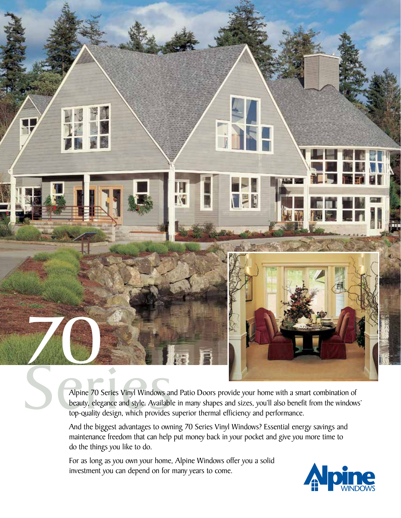

beauty, elegance and style. Available in many shapes and sizes, you'll also benefit from the windows' top-quality design, which provides superior thermal efficiency and performance.

And the biggest advantages to owning 70 Series Vinyl Windows? Essential energy savings and maintenance freedom that can help put money back in your pocket and give you more time to do the things you like to do.

For as long as you own your home, Alpine Windows offer you a solid investment you can depend on for many years to come.

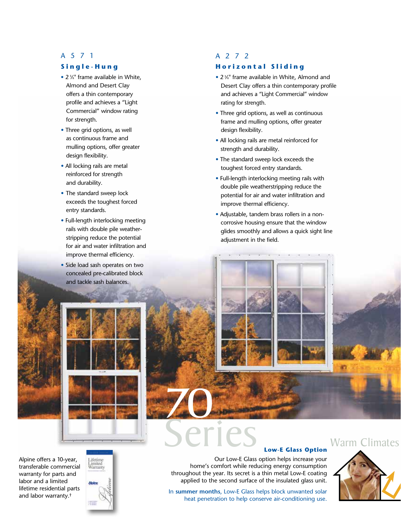### A571

#### **Single-Hung**

- 2 %" frame available in White, Almond and Desert Clay offers a thin contemporary profile and achieves a "Light Commercial" window rating for strength.
- Three grid options, as well as continuous frame and mulling options, offer greater design flexibility.
- All locking rails are metal reinforced for strength and durability.
- The standard sweep lock exceeds the toughest forced entry standards.
- Full-length interlocking meeting rails with double pile weather stripping reduce the potential for air and water infiltration and improve thermal efficiency.
- Side load sash operates on two concealed pre-calibrated block and tackle sash balances.

# A272

#### **Horizontal Sliding**

- 2 <sup>5</sup>/<sub>8</sub>" frame available in White, Almond and Desert Clay offers a thin contemporary profile and achieves a "Light Commercial" window rating for strength.
- Three grid options, as well as continuous frame and mulling options, offer greater design flexibility.
- All locking rails are metal reinforced for strength and durability.
- The standard sweep lock exceeds the toughest forced entry standards.
- Full-length interlocking meeting rails with double pile weatherstripping reduce the potential for air and water infiltration and improve thermal efficiency.
- Adjustable, tandem brass rollers in a non corrosive housing ensure that the window glides smoothly and allows a quick sight line adjustment in the field.



Alpine offers a 10-year, [transferable commercial](www.alpinewindowsystems.com)  warranty for parts and labor and a limited lifetime residential parts and labor warranty.†



#### **Low-E Glass Option**

Our Low-E Glass option helps increase your home's comfort while reducing energy consumption throughout the year. Its secret is a thin metal Low-E coating applied to the second surface of the insulated glass unit.

In **summer months**, Low-E Glass helps block unwanted solar heat penetration to help conserve air-conditioning use.



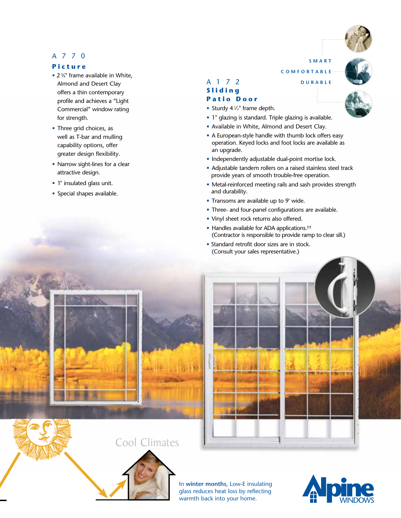# A770

## **Picture**

- 2 %" frame available in White, Almond and Desert Clay offers a thin contemporary profile and achieves a "Light Commercial" window rating for strength.
- Three grid choices, as well as T-bar and mulling capability options, offer greater design flexibility.
- Narrow sight-lines for a clear attractive design.
- 1" insulated glass unit.
- Special shapes available.

# A172

## **S l i d i n g**

#### **Patio Door**

- Sturdy 4  $\frac{1}{2}$ " frame depth.
- 1" glazing is standard. Triple glazing is available.
- Available in White, Almond and Desert Clay.
- A European-style handle with thumb lock offers easy operation. Keyed locks and foot locks are available as an upgrade.
- Independently adjustable dual-point mortise lock.
- Adjustable tandem rollers on a raised stainless steel track provide years of smooth trouble-free operation.
- Metal-reinforced meeting rails and sash provides strength and durability.
- Transoms are available up to 9' wide.
- Three- and four-panel configurations are available.
- Vinyl sheet rock returns also offered.
- Handles available for ADA applications.<sup>††</sup> (Contractor is responsible to provide ramp to clear sill.)
- Standard retrofit door sizes are in stock. (Consult your sales representative.)





In **winter months**, Low-E insulating glass reduces heat loss by reflecting warmth back into your home.







**SMART**

**COMFORTABLE**